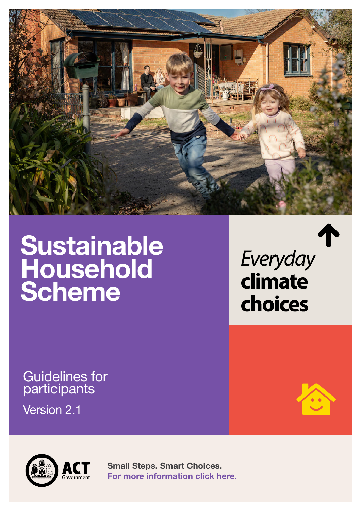

# **Sustainable Household Scheme**

choices

Everyday

climate

Guidelines for participants

Version 2.1



**Small Steps. Smart Choices. [For more information click here.](climatechoices.act.gov.au/policy-programs/sustainable-household-scheme)**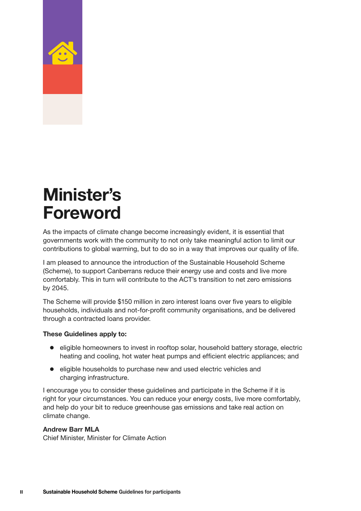<span id="page-1-0"></span>

# **Minister's Foreword**

As the impacts of climate change become increasingly evident, it is essential that governments work with the community to not only take meaningful action to limit our contributions to global warming, but to do so in a way that improves our quality of life.

I am pleased to announce the introduction of the Sustainable Household Scheme (Scheme), to support Canberrans reduce their energy use and costs and live more comfortably. This in turn will contribute to the ACT's transition to net zero emissions by 2045.

The Scheme will provide \$150 million in zero interest loans over five years to eligible households, individuals and not-for-profit community organisations, and be delivered through a contracted loans provider.

#### **These Guidelines apply to:**

- eligible homeowners to invest in rooftop solar, household battery storage, electric heating and cooling, hot water heat pumps and efficient electric appliances; and
- eligible households to purchase new and used electric vehicles and charging infrastructure.

I encourage you to consider these guidelines and participate in the Scheme if it is right for your circumstances. You can reduce your energy costs, live more comfortably, and help do your bit to reduce greenhouse gas emissions and take real action on climate change.

#### **Andrew Barr MLA**

Chief Minister, Minister for Climate Action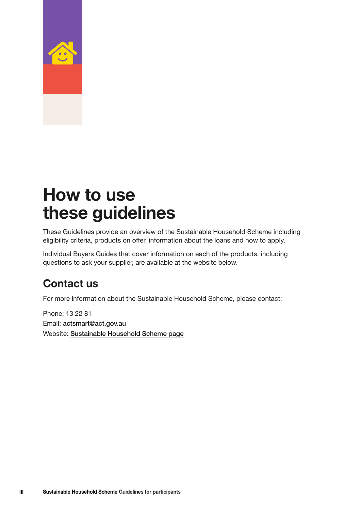<span id="page-2-0"></span>

## **How to use these guidelines**

These Guidelines provide an overview of the Sustainable Household Scheme including eligibility criteria, products on offer, information about the loans and how to apply.

Individual Buyers Guides that cover information on each of the products, including questions to ask your supplier, are available at the website below.

#### **Contact us**

For more information about the Sustainable Household Scheme, please contact:

Phone: 13 22 81 Email: [actsmart@act.gov.au](mailto:actsmart%40act.gov.au?subject=) Website: [Sustainable Household Scheme page](https://www.climatechoices.act.gov.au/policy-programs/sustainable-household-scheme)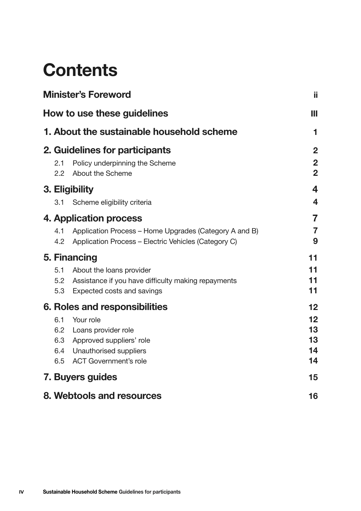## **Contents**

| <b>Minister's Foreword</b><br>How to use these guidelines |                                                                                                                                          |                                                    |  |  |
|-----------------------------------------------------------|------------------------------------------------------------------------------------------------------------------------------------------|----------------------------------------------------|--|--|
|                                                           |                                                                                                                                          |                                                    |  |  |
| 2.1<br>2.2                                                | 2. Guidelines for participants<br>Policy underpinning the Scheme<br>About the Scheme                                                     | $\overline{2}$<br>$\overline{2}$<br>$\overline{2}$ |  |  |
| 3.1                                                       | 3. Eligibility<br>Scheme eligibility criteria                                                                                            | 4<br>$\overline{\mathbf{4}}$                       |  |  |
| 4.1<br>4.2                                                | 4. Application process<br>Application Process – Home Upgrades (Category A and B)<br>Application Process - Electric Vehicles (Category C) | 7<br>$\overline{7}$<br>9                           |  |  |
| 5. Financing                                              |                                                                                                                                          |                                                    |  |  |
| 5.1<br>5.2<br>5.3                                         | About the loans provider<br>Assistance if you have difficulty making repayments<br>Expected costs and savings                            | 11<br>11<br>11                                     |  |  |
| 6. Roles and responsibilities                             |                                                                                                                                          |                                                    |  |  |
| 6.1<br>6.3<br>6.4<br>6.5                                  | Your role<br>6.2 Loans provider role<br>Approved suppliers' role<br>Unauthorised suppliers<br><b>ACT Government's role</b>               | 12<br>13<br>13<br>14<br>14                         |  |  |
|                                                           | 7. Buyers guides                                                                                                                         | 15                                                 |  |  |
|                                                           | 8. Webtools and resources                                                                                                                | 16                                                 |  |  |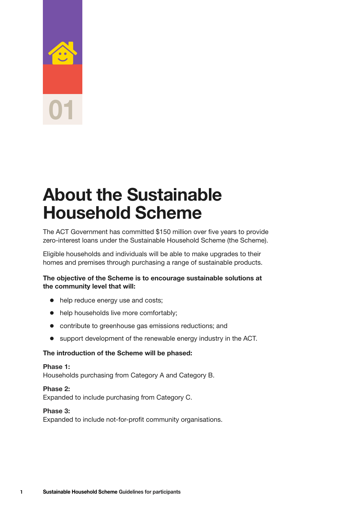<span id="page-4-0"></span>

### **About the Sustainable Household Scheme**

The ACT Government has committed \$150 million over five years to provide zero-interest loans under the Sustainable Household Scheme (the Scheme).

Eligible households and individuals will be able to make upgrades to their homes and premises through purchasing a range of sustainable products.

#### **The objective of the Scheme is to encourage sustainable solutions at the community level that will:**

- $\bullet$  help reduce energy use and costs;
- $\bullet$  help households live more comfortably;
- contribute to greenhouse gas emissions reductions; and
- support development of the renewable energy industry in the ACT.

#### **The introduction of the Scheme will be phased:**

#### **Phase 1:**

Households purchasing from Category A and Category B.

#### **Phase 2:**

Expanded to include purchasing from Category C.

#### **Phase 3:**

Expanded to include not-for-profit community organisations.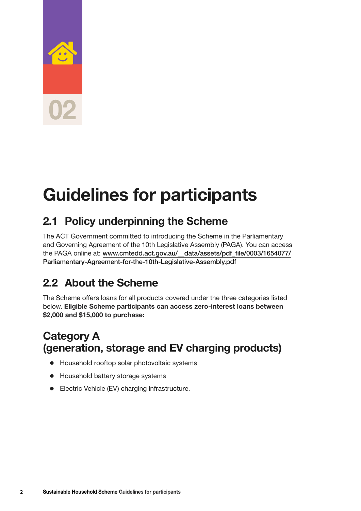<span id="page-5-0"></span>

# **Guidelines for participants**

#### **2.1 Policy underpinning the Scheme**

The ACT Government committed to introducing the Scheme in the Parliamentary and Governing Agreement of the 10th Legislative Assembly (PAGA). You can access the PAGA online at: [www.cmtedd.act.gov.au/\\_\\_data/assets/pdf\\_file/0003/1654077/](https://www.cmtedd.act.gov.au/__data/assets/pdf_file/0003/1654077/Parliamentary-Agreement-for-the-10th-Legislative-Assembly.pdf) [Parliamentary-Agreement-for-the-10th-Legislative-Assembly.pdf](https://www.cmtedd.act.gov.au/__data/assets/pdf_file/0003/1654077/Parliamentary-Agreement-for-the-10th-Legislative-Assembly.pdf)

#### **2.2 About the Scheme**

The Scheme offers loans for all products covered under the three categories listed below. **Eligible Scheme participants can access zero-interest loans between \$2,000 and \$15,000 to purchase:**

#### **Category A (generation, storage and EV charging products)**

- $\bullet$  Household rooftop solar photovoltaic systems
- Household battery storage systems
- Electric Vehicle (EV) charging infrastructure.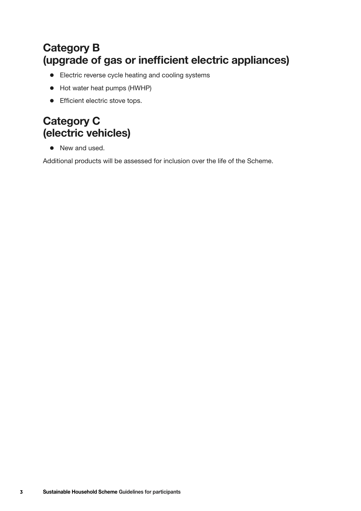#### **Category B (upgrade of gas or inefficient electric appliances)**

- Electric reverse cycle heating and cooling systems
- Hot water heat pumps (HWHP)
- Efficient electric stove tops.

#### **Category C (electric vehicles)**

• New and used.

Additional products will be assessed for inclusion over the life of the Scheme.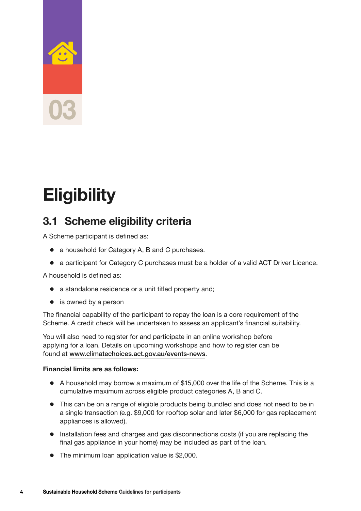# <span id="page-7-0"></span>**03**

# **Eligibility**

#### **3.1 Scheme eligibility criteria**

A Scheme participant is defined as:

- a household for Category A, B and C purchases.
- a participant for Category C purchases must be a holder of a valid ACT Driver Licence.

A household is defined as:

- $\bullet$  a standalone residence or a unit titled property and;
- $\bullet$  is owned by a person

The financial capability of the participant to repay the loan is a core requirement of the Scheme. A credit check will be undertaken to assess an applicant's financial suitability.

You will also need to register for and participate in an online workshop before applying for a loan. Details on upcoming workshops and how to register can be found at <www.climatechoices.act.gov.au/events-news>.

#### **Financial limits are as follows:**

- A household may borrow a maximum of \$15,000 over the life of the Scheme. This is a cumulative maximum across eligible product categories A, B and C.
- This can be on a range of eligible products being bundled and does not need to be in a single transaction (e.g. \$9,000 for rooftop solar and later \$6,000 for gas replacement appliances is allowed).
- Installation fees and charges and gas disconnections costs (if you are replacing the final gas appliance in your home) may be included as part of the loan.
- $\bullet$  The minimum loan application value is \$2,000.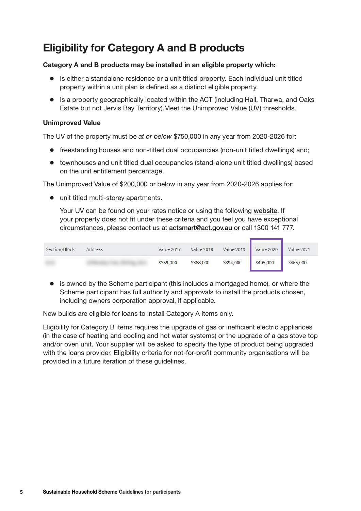#### **Eligibility for Category A and B products**

#### **Category A and B products may be installed in an eligible property which:**

- Is either a standalone residence or a unit titled property. Each individual unit titled property within a unit plan is defined as a distinct eligible property.
- Is a property geographically located within the ACT (including Hall, Tharwa, and Oaks Estate but not Jervis Bay Territory).Meet the Unimproved Value (UV) thresholds.

#### **Unimproved Value**

The UV of the property must be *at or below* \$750,000 in any year from 2020-2026 for:

- freestanding houses and non-titled dual occupancies (non-unit titled dwellings) and;
- townhouses and unit titled dual occupancies (stand-alone unit titled dwellings) based on the unit entitlement percentage.

The Unimproved Value of \$200,000 or below in any year from 2020-2026 applies for:

 $\bullet$  unit titled multi-storey apartments.

Your UV can be found on your rates notice or using the following [website](https://www.accesscanberra.act.gov.au/s/public-registers/unimproved-values?registerid=m0I4a00000000CgEAI). If your property does not fit under these criteria and you feel you have exceptional circumstances, please contact us at [actsmart@act.gov.au](mailto:actsmart@act.gov.au) or call 1300 141 777.

| Section/Block | Address | Value 2017 | Value 2018 |           | Value 2019    Value 2020 | Value 2021 |
|---------------|---------|------------|------------|-----------|--------------------------|------------|
|               |         | \$359,000  | \$368,000  | \$394,000 | \$405,000                | \$465,000  |

 $\bullet$  is owned by the Scheme participant (this includes a mortgaged home), or where the Scheme participant has full authority and approvals to install the products chosen, including owners corporation approval, if applicable.

New builds are eligible for loans to install Category A items only.

Eligibility for Category B items requires the upgrade of gas or inefficient electric appliances (in the case of heating and cooling and hot water systems) or the upgrade of a gas stove top and/or oven unit. Your supplier will be asked to specify the type of product being upgraded with the loans provider. Eligibility criteria for not-for-profit community organisations will be provided in a future iteration of these guidelines.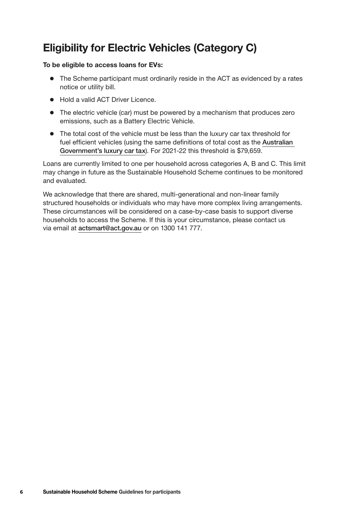#### **Eligibility for Electric Vehicles (Category C)**

#### **To be eligible to access loans for EVs:**

- The Scheme participant must ordinarily reside in the ACT as evidenced by a rates notice or utility bill.
- Hold a valid ACT Driver Licence
- The electric vehicle (car) must be powered by a mechanism that produces zero emissions, such as a Battery Electric Vehicle.
- The total cost of the vehicle must be less than the luxury car tax threshold for fuel efficient vehicles (using the same definitions of total cost as the [Australian](https://www.ato.gov.au/rates/luxury-car-tax-rate-and-thresholds/)  [Government's luxury car tax](https://www.ato.gov.au/rates/luxury-car-tax-rate-and-thresholds/)). For 2021-22 this threshold is \$79,659.

Loans are currently limited to one per household across categories A, B and C. This limit may change in future as the Sustainable Household Scheme continues to be monitored and evaluated.

We acknowledge that there are shared, multi-generational and non-linear family structured households or individuals who may have more complex living arrangements. These circumstances will be considered on a case-by-case basis to support diverse households to access the Scheme. If this is your circumstance, please contact us via email at [actsmart@act.gov.au](mailto:actsmart@act.gov.au) or on 1300 141 777.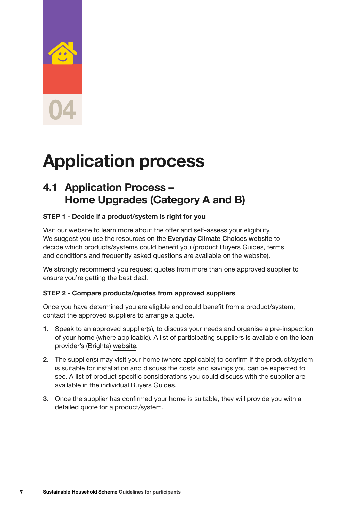# <span id="page-10-0"></span>**04**

# **Application process**

#### **4.1 Application Process – Home Upgrades (Category A and B)**

#### **STEP 1 - Decide if a product/system is right for you**

Visit our website to learn more about the offer and self-assess your eligibility. We suggest you use the resources on the [Everyday Climate Choices website](https://www.climatechoices.act.gov.au/policy-programs/sustainable-household-scheme) to decide which products/systems could benefit you (product Buyers Guides, terms and conditions and frequently asked questions are available on the website).

We strongly recommend you request quotes from more than one approved supplier to ensure you're getting the best deal.

#### **STEP 2 - Compare products/quotes from approved suppliers**

Once you have determined you are eligible and could benefit from a product/system, contact the approved suppliers to arrange a quote.

- **1.** Speak to an approved supplier(s), to discuss your needs and organise a pre-inspection of your home (where applicable). A list of participating suppliers is available on the loan provider's (Brighte) [website](https://brighte.com.au/homeowners/act-sustainable-household-scheme/).
- **2.** The supplier(s) may visit your home (where applicable) to confirm if the product/system is suitable for installation and discuss the costs and savings you can be expected to see. A list of product specific considerations you could discuss with the supplier are available in the individual Buyers Guides.
- **3.** Once the supplier has confirmed your home is suitable, they will provide you with a detailed quote for a product/system.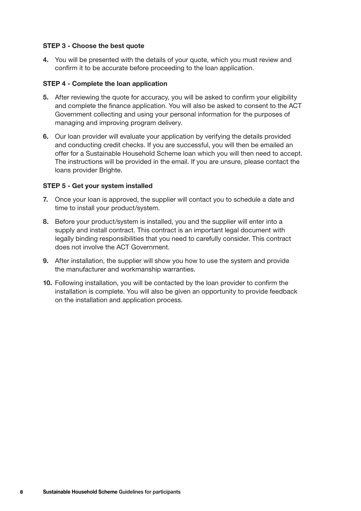#### <span id="page-11-0"></span>**STEP 3 - Choose the best quote**

**4.** You will be presented with the details of your quote, which you must review and confirm it to be accurate before proceeding to the loan application.

#### **STEP 4 - Complete the loan application**

- **5.** After reviewing the quote for accuracy, you will be asked to confirm your eligibility and complete the finance application. You will also be asked to consent to the ACT Government collecting and using your personal information for the purposes of managing and improving program delivery.
- **6.** Our loan provider will evaluate your application by verifying the details provided and conducting credit checks. If you are successful, you will then be emailed an offer for a Sustainable Household Scheme loan which you will then need to accept. The instructions will be provided in the email. If you are unsure, please contact the loans provider Brighte.

#### **STEP 5 - Get your system installed**

- **7.** Once your loan is approved, the supplier will contact you to schedule a date and time to install your product/system.
- **8.** Before your product/system is installed, you and the supplier will enter into a supply and install contract. This contract is an important legal document with legally binding responsibilities that you need to carefully consider. This contract does not involve the ACT Government.
- **9.** After installation, the supplier will show you how to use the system and provide the manufacturer and workmanship warranties.
- **10.** Following installation, you will be contacted by the loan provider to confirm the installation is complete. You will also be given an opportunity to provide feedback on the installation and application process.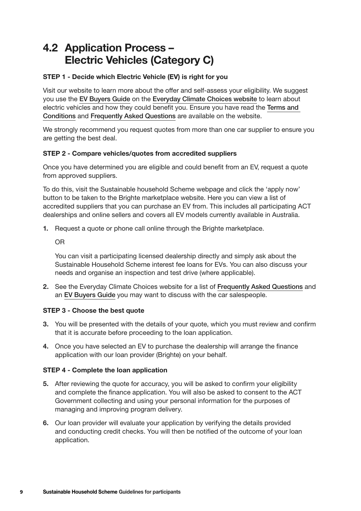#### **4.2 Application Process – Electric Vehicles (Category C)**

#### **STEP 1 - Decide which Electric Vehicle (EV) is right for you**

Visit our website to learn more about the offer and self-assess your eligibility. We suggest you use the [EV Buyers Guide](https://www.climatechoices.act.gov.au/__data/assets/pdf_file/0007/1910995/Sustainable-Household-Scheme-A-guide-to-electric-vehicles.pdf) on the [Everyday Climate Choices website](https://www.climatechoices.act.gov.au/policy-programs/sustainable-household-scheme) to learn about electric vehicles and how they could benefit you. Ensure you have read the [Terms and](https://www.climatechoices.act.gov.au/__data/assets/pdf_file/0011/1861571/Sustainable-Household-Scheme-Terms-and-Conditions.pdf)  [Conditions](https://www.climatechoices.act.gov.au/__data/assets/pdf_file/0011/1861571/Sustainable-Household-Scheme-Terms-and-Conditions.pdf) and [Frequently Asked Questions](https://www.climatechoices.act.gov.au/__data/assets/pdf_file/0010/1865863/Sustainable-Household-Scheme-FAQ.pdf) are available on the website.

We strongly recommend you request quotes from more than one car supplier to ensure you are getting the best deal.

#### **STEP 2 - Compare vehicles/quotes from accredited suppliers**

Once you have determined you are eligible and could benefit from an EV, request a quote from approved suppliers.

To do this, visit the Sustainable household Scheme webpage and click the 'apply now' button to be taken to the Brighte marketplace website. Here you can view a list of accredited suppliers that you can purchase an EV from. This includes all participating ACT dealerships and online sellers and covers all EV models currently available in Australia.

**1.** Request a quote or phone call online through the Brighte marketplace.

OR

You can visit a participating licensed dealership directly and simply ask about the Sustainable Household Scheme interest fee loans for EVs. You can also discuss your needs and organise an inspection and test drive (where applicable).

**2.** See the Everyday Climate Choices website for a list of [Frequently Asked Questions](https://www.climatechoices.act.gov.au/__data/assets/pdf_file/0010/1865863/Sustainable-Household-Scheme-FAQ.pdf) and an [EV Buyers Guide](https://www.climatechoices.act.gov.au/__data/assets/pdf_file/0007/1910995/Sustainable-Household-Scheme-A-guide-to-electric-vehicles.pdf) you may want to discuss with the car salespeople.

#### **STEP 3 - Choose the best quote**

- **3.** You will be presented with the details of your quote, which you must review and confirm that it is accurate before proceeding to the loan application.
- **4.** Once you have selected an EV to purchase the dealership will arrange the finance application with our loan provider (Brighte) on your behalf.

#### **STEP 4 - Complete the loan application**

- **5.** After reviewing the quote for accuracy, you will be asked to confirm your eligibility and complete the finance application. You will also be asked to consent to the ACT Government collecting and using your personal information for the purposes of managing and improving program delivery.
- **6.** Our loan provider will evaluate your application by verifying the details provided and conducting credit checks. You will then be notified of the outcome of your loan application.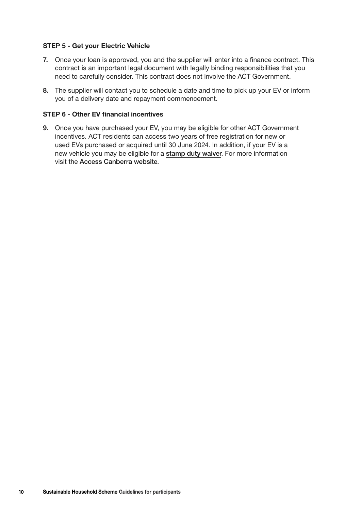#### **STEP 5 - Get your Electric Vehicle**

- **7.** Once your loan is approved, you and the supplier will enter into a finance contract. This contract is an important legal document with legally binding responsibilities that you need to carefully consider. This contract does not involve the ACT Government.
- **8.** The supplier will contact you to schedule a date and time to pick up your EV or inform you of a delivery date and repayment commencement.

#### **STEP 6 - Other EV financial incentives**

**9.** Once you have purchased your EV, you may be eligible for other ACT Government incentives. ACT residents can access two years of free registration for new or used EVs purchased or acquired until 30 June 2024. In addition, if your EV is a new vehicle you may be eligible for a [stamp duty waiver](https://www.accesscanberra.act.gov.au/s/article/duty-payable-upon-registration-or-transfer-of-a-motor-vehicle-tab-calculation-of-duty-under-the-vehicle-emission-reduction-scheme). For more information visit the Access [Canberra](https://www.accesscanberra.act.gov.au/s/article/motor-vehicle-registration-and-renewal-tab-zero-emissions-vehicle-registration) website.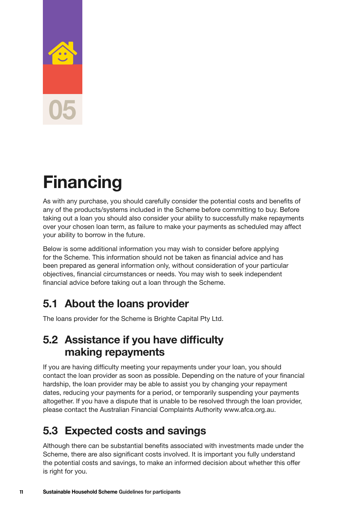# <span id="page-14-0"></span>**05**

# **Financing**

As with any purchase, you should carefully consider the potential costs and benefits of any of the products/systems included in the Scheme before committing to buy. Before taking out a loan you should also consider your ability to successfully make repayments over your chosen loan term, as failure to make your payments as scheduled may affect your ability to borrow in the future.

Below is some additional information you may wish to consider before applying for the Scheme. This information should not be taken as financial advice and has been prepared as general information only, without consideration of your particular objectives, financial circumstances or needs. You may wish to seek independent financial advice before taking out a loan through the Scheme.

#### **5.1 About the loans provider**

The loans provider for the Scheme is Brighte Capital Pty Ltd.

#### **5.2 Assistance if you have difficulty making repayments**

If you are having difficulty meeting your repayments under your loan, you should contact the loan provider as soon as possible. Depending on the nature of your financial hardship, the loan provider may be able to assist you by changing your repayment dates, reducing your payments for a period, or temporarily suspending your payments altogether. If you have a dispute that is unable to be resolved through the loan provider, please contact the Australian Financial Complaints Authority [www.afca.org.au](http://www.afca.org.au/).

#### **5.3 Expected costs and savings**

Although there can be substantial benefits associated with investments made under the Scheme, there are also significant costs involved. It is important you fully understand the potential costs and savings, to make an informed decision about whether this offer is right for you.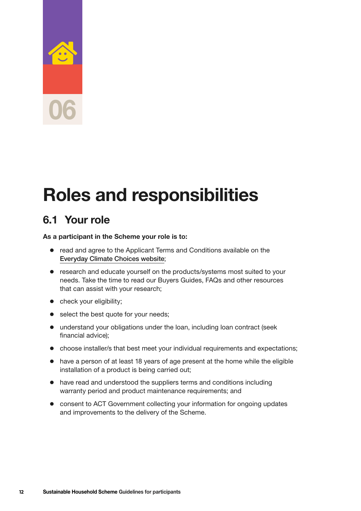# <span id="page-15-0"></span>**06**

# **Roles and responsibilities**

#### **6.1 Your role**

#### **As a participant in the Scheme your role is to:**

- read and agree to the Applicant Terms and Conditions available on the [Everyday Climate Choices website](https://www.climatechoices.act.gov.au/__data/assets/pdf_file/0011/1861571/Sustainable-Household-Scheme-Terms-and-Conditions.pdf);
- research and educate yourself on the products/systems most suited to your needs. Take the time to read our Buyers Guides, FAQs and other resources that can assist with your research;
- check your eligibility;
- $\bullet$  select the best quote for your needs;
- understand your obligations under the loan, including loan contract (seek financial advice);
- choose installer/s that best meet your individual requirements and expectations;
- have a person of at least 18 years of age present at the home while the eligible installation of a product is being carried out;
- have read and understood the suppliers terms and conditions including warranty period and product maintenance requirements; and
- consent to ACT Government collecting your information for ongoing updates and improvements to the delivery of the Scheme.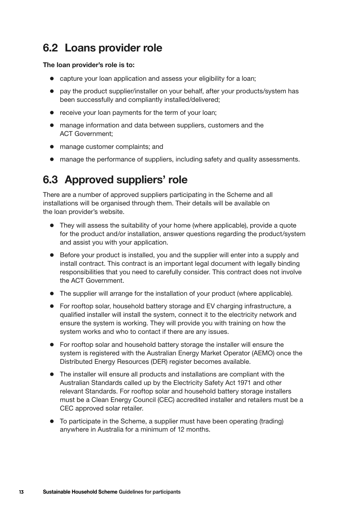#### <span id="page-16-0"></span>**6.2 Loans provider role**

#### **The loan provider's role is to:**

- capture your loan application and assess your eligibility for a loan;
- pay the product supplier/installer on your behalf, after your products/system has been successfully and compliantly installed/delivered;
- $\bullet$  receive your loan payments for the term of your loan;
- manage information and data between suppliers, customers and the ACT Government;
- manage customer complaints; and
- manage the performance of suppliers, including safety and quality assessments.

#### **6.3 Approved suppliers' role**

There are a number of approved suppliers participating in the Scheme and all installations will be organised through them. Their details will be available on the loan provider's website.

- $\bullet$  They will assess the suitability of your home (where applicable), provide a quote for the product and/or installation, answer questions regarding the product/system and assist you with your application.
- Before your product is installed, you and the supplier will enter into a supply and install contract. This contract is an important legal document with legally binding responsibilities that you need to carefully consider. This contract does not involve the ACT Government.
- The supplier will arrange for the installation of your product (where applicable).
- For rooftop solar, household battery storage and EV charging infrastructure, a qualified installer will install the system, connect it to the electricity network and ensure the system is working. They will provide you with training on how the system works and who to contact if there are any issues.
- For rooftop solar and household battery storage the installer will ensure the system is registered with the Australian Energy Market Operator (AEMO) once the Distributed Energy Resources (DER) register becomes available.
- The installer will ensure all products and installations are compliant with the Australian Standards called up by the [Electricity Safety Act 1971](https://www.legislation.act.gov.au/a/1971-30) and other relevant Standards. For rooftop solar and household battery storage installers must be a Clean Energy Council (CEC) accredited installer and retailers must be a CEC approved solar retailer.
- To participate in the Scheme, a supplier must have been operating (trading) anywhere in Australia for a minimum of 12 months.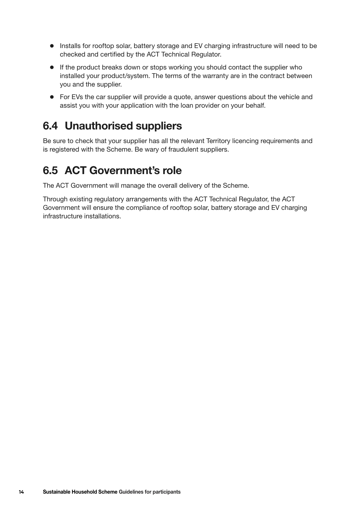- <span id="page-17-0"></span>• Installs for rooftop solar, battery storage and EV charging infrastructure will need to be checked and certified by the ACT Technical Regulator.
- If the product breaks down or stops working you should contact the supplier who installed your product/system. The terms of the warranty are in the contract between you and the supplier.
- For EVs the car supplier will provide a quote, answer questions about the vehicle and assist you with your application with the loan provider on your behalf.

#### **6.4 Unauthorised suppliers**

Be sure to check that your supplier has all the relevant Territory licencing requirements and is registered with the Scheme. Be wary of fraudulent suppliers.

#### **6.5 ACT Government's role**

The ACT Government will manage the overall delivery of the Scheme.

Through existing regulatory arrangements with the ACT Technical Regulator, the ACT Government will ensure the compliance of rooftop solar, battery storage and EV charging infrastructure installations.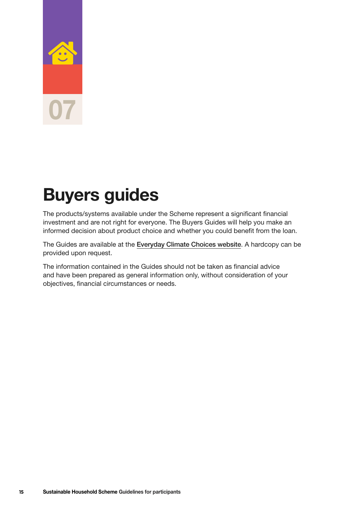<span id="page-18-0"></span>

# **Buyers guides**

The products/systems available under the Scheme represent a significant financial investment and are not right for everyone. The Buyers Guides will help you make an informed decision about product choice and whether you could benefit from the loan.

The Guides are available at the [Everyday Climate Choice](https://www.climatechoices.act.gov.au/policy-programs/sustainable-household-scheme)s [website](https://www.climatechoices.act.gov.au/policy-programs/sustainable-household-scheme). A hardcopy can be provided upon request.

The information contained in the Guides should not be taken as financial advice and have been prepared as general information only, without consideration of your objectives, financial circumstances or needs.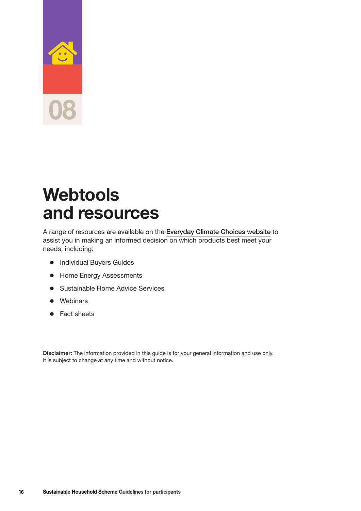<span id="page-19-0"></span>

## **Webtools and resources**

A range of resources are available on the [Everyday Climate Choices website](https://www.climatechoices.act.gov.au/policy-programs/sustainable-household-scheme) to assist you in making an informed decision on which products best meet your needs, including:

- **•** Individual Buyers Guides
- Home Energy Assessments
- **Sustainable Home Advice Services**
- Webinars
- Fact sheets

**Disclaimer:** The information provided in this guide is for your general information and use only. It is subject to change at any time and without notice.